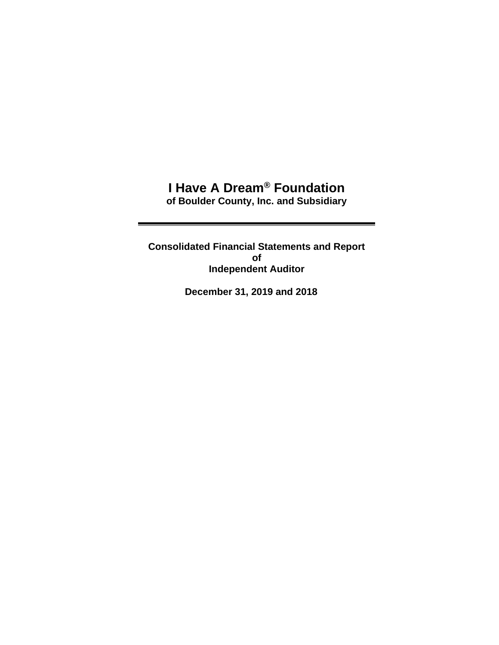# **I Have A Dream® Foundation**

**of Boulder County, Inc. and Subsidiary**

**Consolidated Financial Statements and Report of Independent Auditor**

**December 31, 2019 and 2018**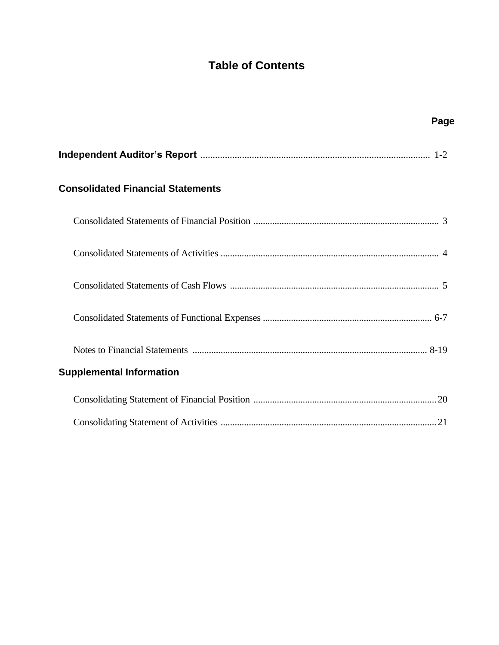# **Table of Contents**

| Page |
|------|
|      |
|      |
|      |
|      |
|      |
|      |
|      |
|      |
|      |
|      |
|      |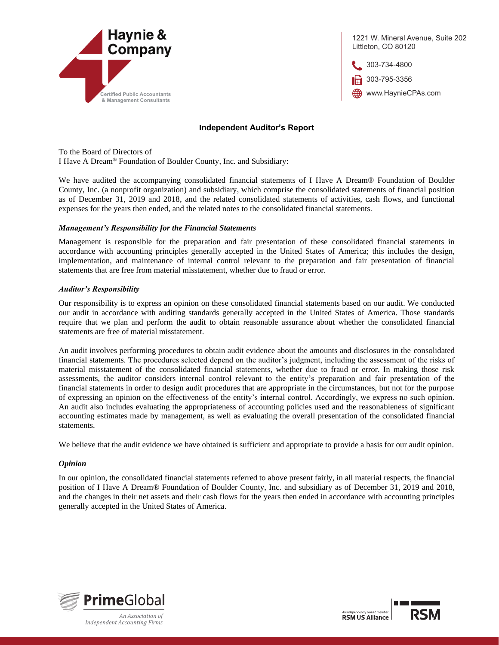

1221 W. Mineral Avenue, Suite 202 Littleton, CO 80120

303-734-4800 303-795-3356 www.HaynieCPAs.com

#### **Independent Auditor's Report**

To the Board of Directors of I Have A Dream® Foundation of Boulder County, Inc. and Subsidiary:

We have audited the accompanying consolidated financial statements of I Have A Dream® Foundation of Boulder County, Inc. (a nonprofit organization) and subsidiary, which comprise the consolidated statements of financial position as of December 31, 2019 and 2018, and the related consolidated statements of activities, cash flows, and functional expenses for the years then ended, and the related notes to the consolidated financial statements.

#### *Management's Responsibility for the Financial Statements*

Management is responsible for the preparation and fair presentation of these consolidated financial statements in accordance with accounting principles generally accepted in the United States of America; this includes the design, implementation, and maintenance of internal control relevant to the preparation and fair presentation of financial statements that are free from material misstatement, whether due to fraud or error.

#### *Auditor's Responsibility*

Our responsibility is to express an opinion on these consolidated financial statements based on our audit. We conducted our audit in accordance with auditing standards generally accepted in the United States of America. Those standards require that we plan and perform the audit to obtain reasonable assurance about whether the consolidated financial statements are free of material misstatement.

An audit involves performing procedures to obtain audit evidence about the amounts and disclosures in the consolidated financial statements. The procedures selected depend on the auditor's judgment, including the assessment of the risks of material misstatement of the consolidated financial statements, whether due to fraud or error. In making those risk assessments, the auditor considers internal control relevant to the entity's preparation and fair presentation of the financial statements in order to design audit procedures that are appropriate in the circumstances, but not for the purpose of expressing an opinion on the effectiveness of the entity's internal control. Accordingly, we express no such opinion. An audit also includes evaluating the appropriateness of accounting policies used and the reasonableness of significant accounting estimates made by management, as well as evaluating the overall presentation of the consolidated financial statements.

We believe that the audit evidence we have obtained is sufficient and appropriate to provide a basis for our audit opinion.

#### *Opinion*

In our opinion, the consolidated financial statements referred to above present fairly, in all material respects, the financial position of I Have A Dream® Foundation of Boulder County, Inc. and subsidiary as of December 31, 2019 and 2018, and the changes in their net assets and their cash flows for the years then ended in accordance with accounting principles generally accepted in the United States of America.





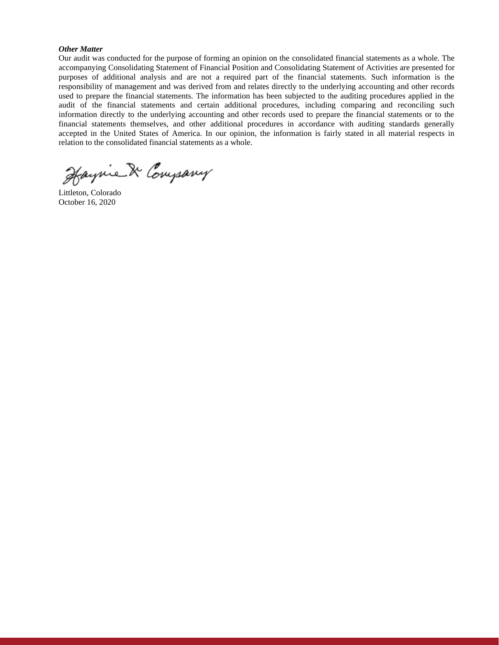#### *Other Matter*

Our audit was conducted for the purpose of forming an opinion on the consolidated financial statements as a whole. The accompanying Consolidating Statement of Financial Position and Consolidating Statement of Activities are presented for purposes of additional analysis and are not a required part of the financial statements. Such information is the responsibility of management and was derived from and relates directly to the underlying accounting and other records used to prepare the financial statements. The information has been subjected to the auditing procedures applied in the audit of the financial statements and certain additional procedures, including comparing and reconciling such information directly to the underlying accounting and other records used to prepare the financial statements or to the financial statements themselves, and other additional procedures in accordance with auditing standards generally accepted in the United States of America. In our opinion, the information is fairly stated in all material respects in relation to the consolidated financial statements as a whole.

Haynie & Company

Littleton, Colorado October 16, 2020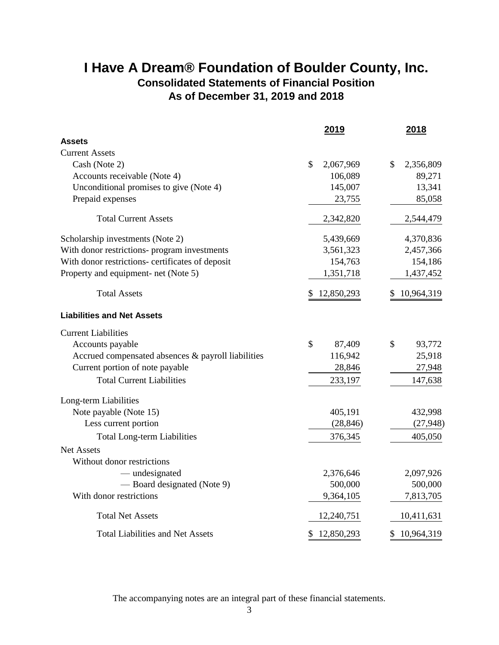# **I Have A Dream® Foundation of Boulder County, Inc.**

**Consolidated Statements of Financial Position As of December 31, 2019 and 2018**

|                                                    | 2019             | 2018             |
|----------------------------------------------------|------------------|------------------|
| Assets                                             |                  |                  |
| <b>Current Assets</b>                              |                  |                  |
| Cash (Note 2)                                      | \$<br>2,067,969  | \$<br>2,356,809  |
| Accounts receivable (Note 4)                       | 106,089          | 89,271           |
| Unconditional promises to give (Note 4)            | 145,007          | 13,341           |
| Prepaid expenses                                   | 23,755           | 85,058           |
| <b>Total Current Assets</b>                        | 2,342,820        | 2,544,479        |
| Scholarship investments (Note 2)                   | 5,439,669        | 4,370,836        |
| With donor restrictions- program investments       | 3,561,323        | 2,457,366        |
| With donor restrictions- certificates of deposit   | 154,763          | 154,186          |
| Property and equipment- net (Note 5)               | 1,351,718        | 1,437,452        |
| <b>Total Assets</b>                                | 12,850,293<br>S  | 10,964,319<br>S  |
| <b>Liabilities and Net Assets</b>                  |                  |                  |
| <b>Current Liabilities</b>                         |                  |                  |
| Accounts payable                                   | \$<br>87,409     | \$<br>93,772     |
| Accrued compensated absences & payroll liabilities | 116,942          | 25,918           |
| Current portion of note payable                    | 28,846           | 27,948           |
| <b>Total Current Liabilities</b>                   | 233,197          | 147,638          |
| Long-term Liabilities                              |                  |                  |
| Note payable (Note 15)                             | 405,191          | 432,998          |
| Less current portion                               | (28, 846)        | (27, 948)        |
| <b>Total Long-term Liabilities</b>                 | 376,345          | 405,050          |
| <b>Net Assets</b>                                  |                  |                  |
| Without donor restrictions                         |                  |                  |
| — undesignated                                     | 2,376,646        | 2,097,926        |
| — Board designated (Note 9)                        | 500,000          | 500,000          |
| With donor restrictions                            | 9,364,105        | 7,813,705        |
| <b>Total Net Assets</b>                            | 12,240,751       | 10,411,631       |
| <b>Total Liabilities and Net Assets</b>            | 12,850,293<br>\$ | 10,964,319<br>\$ |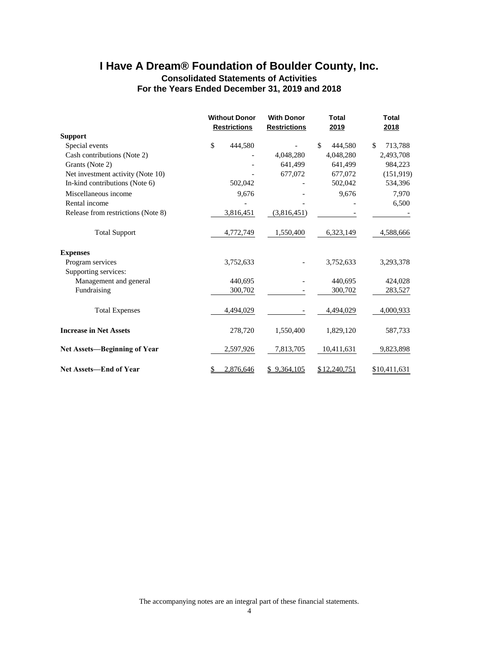### **I Have A Dream® Foundation of Boulder County, Inc. Consolidated Statements of Activities For the Years Ended December 31, 2019 and 2018**

|                                    | <b>Without Donor</b><br><b>Restrictions</b> | <b>With Donor</b><br><b>Restrictions</b> | <b>Total</b><br>2019 | Total<br>2018 |
|------------------------------------|---------------------------------------------|------------------------------------------|----------------------|---------------|
| <b>Support</b>                     |                                             |                                          |                      |               |
| Special events                     | \$<br>444,580                               |                                          | \$<br>444,580        | \$<br>713,788 |
| Cash contributions (Note 2)        |                                             | 4,048,280                                | 4,048,280            | 2,493,708     |
| Grants (Note 2)                    |                                             | 641,499                                  | 641,499              | 984,223       |
| Net investment activity (Note 10)  |                                             | 677,072                                  | 677,072              | (151, 919)    |
| In-kind contributions (Note 6)     | 502,042                                     |                                          | 502,042              | 534,396       |
| Miscellaneous income               | 9,676                                       |                                          | 9,676                | 7,970         |
| Rental income                      |                                             |                                          |                      | 6,500         |
| Release from restrictions (Note 8) | 3,816,451                                   | (3,816,451)                              |                      |               |
| <b>Total Support</b>               | 4,772,749                                   | 1,550,400                                | 6,323,149            | 4,588,666     |
| <b>Expenses</b>                    |                                             |                                          |                      |               |
| Program services                   | 3,752,633                                   |                                          | 3,752,633            | 3,293,378     |
| Supporting services:               |                                             |                                          |                      |               |
| Management and general             | 440,695                                     |                                          | 440,695              | 424,028       |
| Fundraising                        | 300,702                                     |                                          | 300,702              | 283,527       |
| <b>Total Expenses</b>              | 4,494,029                                   |                                          | 4,494,029            | 4,000,933     |
| <b>Increase in Net Assets</b>      | 278,720                                     | 1,550,400                                | 1,829,120            | 587,733       |
| Net Assets-Beginning of Year       | 2,597,926                                   | 7,813,705                                | 10,411,631           | 9,823,898     |
| Net Assets-End of Year             | 2.876.646                                   | \$9,364,105                              | \$12,240,751         | \$10,411,631  |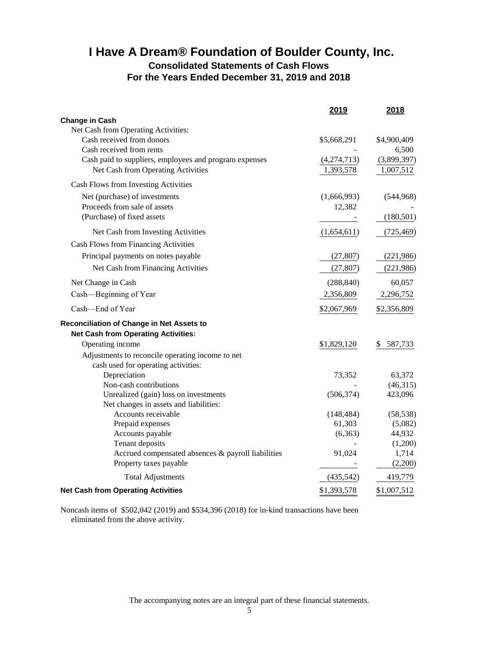### **I Have A Dream® Foundation of Boulder County, Inc. Consolidated Statements of Cash Flows For the Years Ended December 31, 2019 and 2018**

|                                                        | 2019        | 2018        |
|--------------------------------------------------------|-------------|-------------|
| <b>Change in Cash</b>                                  |             |             |
| Net Cash from Operating Activities:                    |             |             |
| Cash received from donors                              | \$5,668,291 | \$4,900,409 |
| Cash received from rents                               |             | 6,500       |
| Cash paid to suppliers, employees and program expenses | (4,274,713) | (3,899,397) |
| Net Cash from Operating Activities                     | 1,393,578   | 1,007,512   |
| Cash Flows from Investing Activities                   |             |             |
| Net (purchase) of investments                          | (1,666,993) | (544,968)   |
| Proceeds from sale of assets                           | 12,382      |             |
| (Purchase) of fixed assets                             |             | (180, 501)  |
| Net Cash from Investing Activities                     | (1,654,611) | (725, 469)  |
| <b>Cash Flows from Financing Activities</b>            |             |             |
| Principal payments on notes payable                    | (27, 807)   | (221,986)   |
| Net Cash from Financing Activities                     | (27, 807)   | (221,986)   |
| Net Change in Cash                                     | (288, 840)  | 60,057      |
| Cash-Beginning of Year                                 | 2,356,809   | 2,296,752   |
| Cash—End of Year                                       | \$2,067,969 | \$2,356,809 |
| Reconciliation of Change in Net Assets to              |             |             |
| <b>Net Cash from Operating Activities:</b>             |             |             |
| Operating income                                       | \$1,829,120 | 587,733     |
| Adjustments to reconcile operating income to net       |             |             |
| cash used for operating activities:                    |             |             |
| Depreciation                                           | 73,352      | 63,372      |
| Non-cash contributions                                 |             | (46,315)    |
| Unrealized (gain) loss on investments                  | (506, 374)  | 423,096     |
| Net changes in assets and liabilities:                 |             |             |
| Accounts receivable                                    | (148, 484)  | (58, 538)   |
| Prepaid expenses                                       | 61,303      | (5,082)     |
| Accounts payable                                       | (6,363)     | 44,932      |
| Tenant deposits                                        |             | (1,200)     |
| Accrued compensated absences & payroll liabilities     | 91,024      | 1,714       |
| Property taxes payable                                 |             | (2,200)     |
| <b>Total Adjustments</b>                               | (435,542)   | 419,779     |
| <b>Net Cash from Operating Activities</b>              | \$1,393,578 | \$1,007,512 |

Noncash items of \$502,042 (2019) and \$534,396 (2018) for in-kind transactions have been eliminated from the above activity.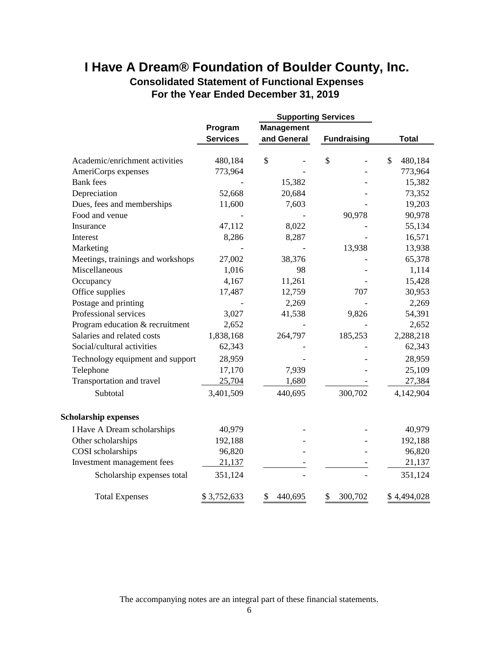# **I Have A Dream® Foundation of Boulder County, Inc.**

### **Consolidated Statement of Functional Expenses For the Year Ended December 31, 2019**

|                                   |                 |                   | <b>Supporting Services</b> |                          |
|-----------------------------------|-----------------|-------------------|----------------------------|--------------------------|
|                                   | Program         | <b>Management</b> |                            |                          |
|                                   | <b>Services</b> | and General       | <b>Fundraising</b>         | <b>Total</b>             |
| Academic/enrichment activities    | 480,184         | \$                | $\mathbb{S}$               | $\mathcal{S}$<br>480,184 |
| AmeriCorps expenses               | 773,964         |                   |                            | 773,964                  |
| <b>Bank</b> fees                  |                 | 15,382            |                            | 15,382                   |
| Depreciation                      | 52,668          | 20,684            |                            | 73,352                   |
| Dues, fees and memberships        | 11,600          | 7,603             |                            | 19,203                   |
| Food and venue                    |                 |                   | 90,978                     | 90,978                   |
| Insurance                         | 47,112          | 8,022             |                            | 55,134                   |
| Interest                          | 8,286           | 8,287             |                            | 16,571                   |
| Marketing                         |                 |                   | 13,938                     | 13,938                   |
| Meetings, trainings and workshops | 27,002          | 38,376            |                            | 65,378                   |
| Miscellaneous                     | 1,016           | 98                |                            | 1,114                    |
| Occupancy                         | 4,167           | 11,261            |                            | 15,428                   |
| Office supplies                   | 17,487          | 12,759            | 707                        | 30,953                   |
| Postage and printing              |                 | 2,269             |                            | 2,269                    |
| Professional services             | 3,027           | 41,538            | 9,826                      | 54,391                   |
| Program education & recruitment   | 2,652           |                   |                            | 2,652                    |
| Salaries and related costs        | 1,838,168       | 264,797           | 185,253                    | 2,288,218                |
| Social/cultural activities        | 62,343          |                   |                            | 62,343                   |
| Technology equipment and support  | 28,959          |                   |                            | 28,959                   |
| Telephone                         | 17,170          | 7,939             |                            | 25,109                   |
| Transportation and travel         | 25,704          | 1,680             |                            | 27,384                   |
| Subtotal                          | 3,401,509       | 440,695           | 300,702                    | 4,142,904                |
| <b>Scholarship expenses</b>       |                 |                   |                            |                          |
| I Have A Dream scholarships       | 40,979          |                   |                            | 40,979                   |
| Other scholarships                | 192,188         |                   |                            | 192,188                  |
| COSI scholarships                 | 96,820          |                   |                            | 96,820                   |
| Investment management fees        | <u>21,137</u>   |                   |                            | 21,137                   |
| Scholarship expenses total        | 351,124         |                   |                            | 351,124                  |
| <b>Total Expenses</b>             | \$3,752,633     | \$<br>440,695     | \$<br>300,702              | \$4,494,028              |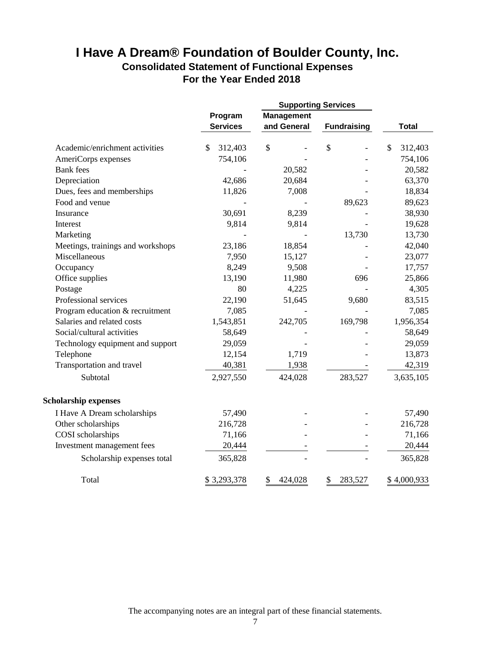### **For the Year Ended 2018 I Have A Dream® Foundation of Boulder County, Inc. Consolidated Statement of Functional Expenses**

|                                   |                 |                   | <b>Supporting Services</b> |               |
|-----------------------------------|-----------------|-------------------|----------------------------|---------------|
|                                   | Program         | <b>Management</b> |                            |               |
|                                   | <b>Services</b> | and General       | <b>Fundraising</b>         | <b>Total</b>  |
| Academic/enrichment activities    | 312,403<br>\$   | \$                | \$                         | \$<br>312,403 |
| AmeriCorps expenses               | 754,106         |                   |                            | 754,106       |
| <b>Bank</b> fees                  |                 | 20,582            |                            | 20,582        |
| Depreciation                      | 42,686          | 20,684            |                            | 63,370        |
| Dues, fees and memberships        | 11,826          | 7,008             |                            | 18,834        |
| Food and venue                    |                 |                   | 89,623                     | 89,623        |
| Insurance                         | 30,691          | 8,239             |                            | 38,930        |
| Interest                          | 9,814           | 9,814             |                            | 19,628        |
| Marketing                         |                 |                   | 13,730                     | 13,730        |
| Meetings, trainings and workshops | 23,186          | 18,854            |                            | 42,040        |
| Miscellaneous                     | 7,950           | 15,127            |                            | 23,077        |
| Occupancy                         | 8,249           | 9,508             |                            | 17,757        |
| Office supplies                   | 13,190          | 11,980            | 696                        | 25,866        |
| Postage                           | 80              | 4,225             |                            | 4,305         |
| Professional services             | 22,190          | 51,645            | 9,680                      | 83,515        |
| Program education & recruitment   | 7,085           |                   |                            | 7,085         |
| Salaries and related costs        | 1,543,851       | 242,705           | 169,798                    | 1,956,354     |
| Social/cultural activities        | 58,649          |                   |                            | 58,649        |
| Technology equipment and support  | 29,059          |                   |                            | 29,059        |
| Telephone                         | 12,154          | 1,719             |                            | 13,873        |
| Transportation and travel         | 40,381          | 1,938             |                            | 42,319        |
| Subtotal                          | 2,927,550       | 424,028           | 283,527                    | 3,635,105     |
| <b>Scholarship expenses</b>       |                 |                   |                            |               |
| I Have A Dream scholarships       | 57,490          |                   |                            | 57,490        |
| Other scholarships                | 216,728         |                   |                            | 216,728       |
| COSI scholarships                 | 71,166          |                   |                            | 71,166        |
| Investment management fees        | 20,444          |                   |                            | 20,444        |
| Scholarship expenses total        | 365,828         |                   |                            | 365,828       |
| Total                             | \$3,293,378     | \$<br>424,028     | \$<br>283,527              | \$4,000,933   |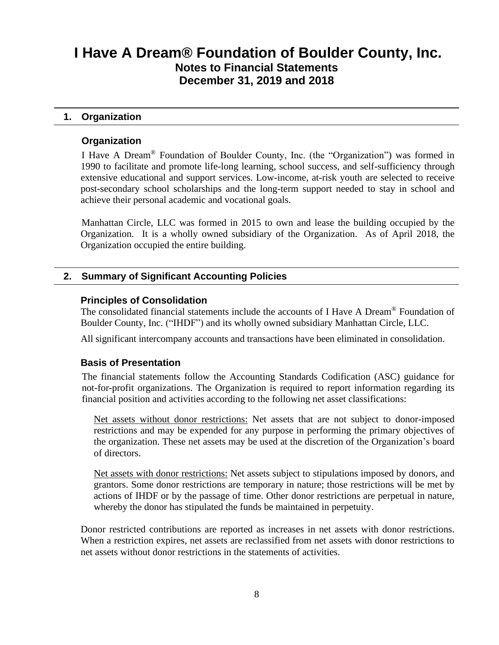#### **1. Organization**

#### **Organization**

I Have A Dream® Foundation of Boulder County, Inc. (the "Organization") was formed in 1990 to facilitate and promote life-long learning, school success, and self-sufficiency through extensive educational and support services. Low-income, at-risk youth are selected to receive post-secondary school scholarships and the long-term support needed to stay in school and achieve their personal academic and vocational goals.

Manhattan Circle, LLC was formed in 2015 to own and lease the building occupied by the Organization. It is a wholly owned subsidiary of the Organization. As of April 2018, the Organization occupied the entire building.

#### **2. Summary of Significant Accounting Policies**

#### **Principles of Consolidation**

The consolidated financial statements include the accounts of I Have A Dream® Foundation of Boulder County, Inc. ("IHDF") and its wholly owned subsidiary Manhattan Circle, LLC.

All significant intercompany accounts and transactions have been eliminated in consolidation.

#### **Basis of Presentation**

The financial statements follow the Accounting Standards Codification (ASC) guidance for not-for-profit organizations. The Organization is required to report information regarding its financial position and activities according to the following net asset classifications:

Net assets without donor restrictions: Net assets that are not subject to donor-imposed restrictions and may be expended for any purpose in performing the primary objectives of the organization. These net assets may be used at the discretion of the Organization's board of directors.

Net assets with donor restrictions: Net assets subject to stipulations imposed by donors, and grantors. Some donor restrictions are temporary in nature; those restrictions will be met by actions of IHDF or by the passage of time. Other donor restrictions are perpetual in nature, whereby the donor has stipulated the funds be maintained in perpetuity.

Donor restricted contributions are reported as increases in net assets with donor restrictions. When a restriction expires, net assets are reclassified from net assets with donor restrictions to net assets without donor restrictions in the statements of activities.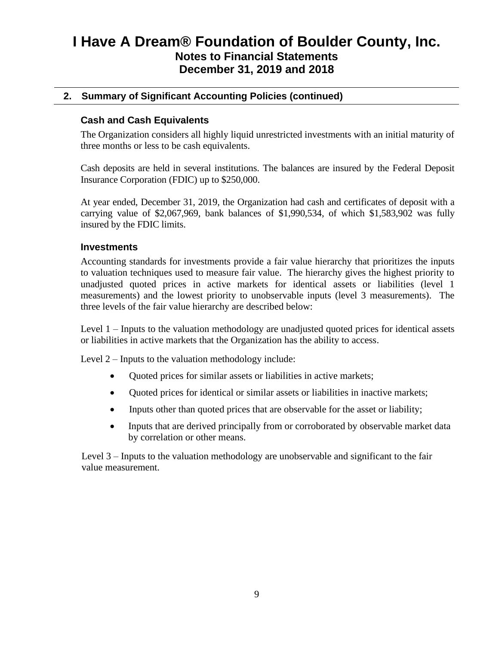### **2. Summary of Significant Accounting Policies (continued)**

### **Cash and Cash Equivalents**

The Organization considers all highly liquid unrestricted investments with an initial maturity of three months or less to be cash equivalents.

Cash deposits are held in several institutions. The balances are insured by the Federal Deposit Insurance Corporation (FDIC) up to \$250,000.

At year ended, December 31, 2019, the Organization had cash and certificates of deposit with a carrying value of \$2,067,969, bank balances of \$1,990,534, of which \$1,583,902 was fully insured by the FDIC limits.

#### **Investments**

Accounting standards for investments provide a fair value hierarchy that prioritizes the inputs to valuation techniques used to measure fair value. The hierarchy gives the highest priority to unadjusted quoted prices in active markets for identical assets or liabilities (level 1 measurements) and the lowest priority to unobservable inputs (level 3 measurements). The three levels of the fair value hierarchy are described below:

Level 1 – Inputs to the valuation methodology are unadjusted quoted prices for identical assets or liabilities in active markets that the Organization has the ability to access.

Level 2 – Inputs to the valuation methodology include:

- Quoted prices for similar assets or liabilities in active markets;
- Quoted prices for identical or similar assets or liabilities in inactive markets;
- Inputs other than quoted prices that are observable for the asset or liability;
- Inputs that are derived principally from or corroborated by observable market data by correlation or other means.

Level 3 – Inputs to the valuation methodology are unobservable and significant to the fair value measurement.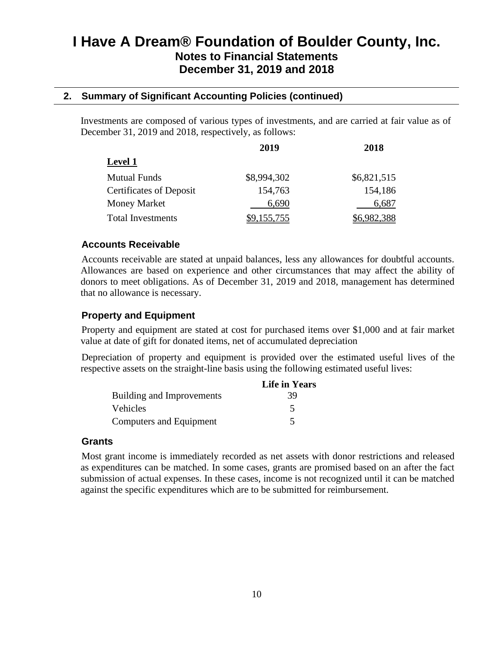### **2. Summary of Significant Accounting Policies (continued)**

Investments are composed of various types of investments, and are carried at fair value as of December 31, 2019 and 2018, respectively, as follows:

|                                | 2019               | 2018        |
|--------------------------------|--------------------|-------------|
| <b>Level 1</b>                 |                    |             |
| <b>Mutual Funds</b>            | \$8,994,302        | \$6,821,515 |
| <b>Certificates of Deposit</b> | 154,763            | 154,186     |
| <b>Money Market</b>            | 6,690              | 6,687       |
| <b>Total Investments</b>       | <u>\$9,155,755</u> | 6,982,388   |

#### **Accounts Receivable**

Accounts receivable are stated at unpaid balances, less any allowances for doubtful accounts. Allowances are based on experience and other circumstances that may affect the ability of donors to meet obligations. As of December 31, 2019 and 2018, management has determined that no allowance is necessary.

#### **Property and Equipment**

Property and equipment are stated at cost for purchased items over \$1,000 and at fair market value at date of gift for donated items, net of accumulated depreciation

Depreciation of property and equipment is provided over the estimated useful lives of the respective assets on the straight-line basis using the following estimated useful lives:

|                                  | <b>Life in Years</b> |
|----------------------------------|----------------------|
| <b>Building and Improvements</b> | 39                   |
| Vehicles                         |                      |
| Computers and Equipment          |                      |

#### **Grants**

Most grant income is immediately recorded as net assets with donor restrictions and released as expenditures can be matched. In some cases, grants are promised based on an after the fact submission of actual expenses. In these cases, income is not recognized until it can be matched against the specific expenditures which are to be submitted for reimbursement.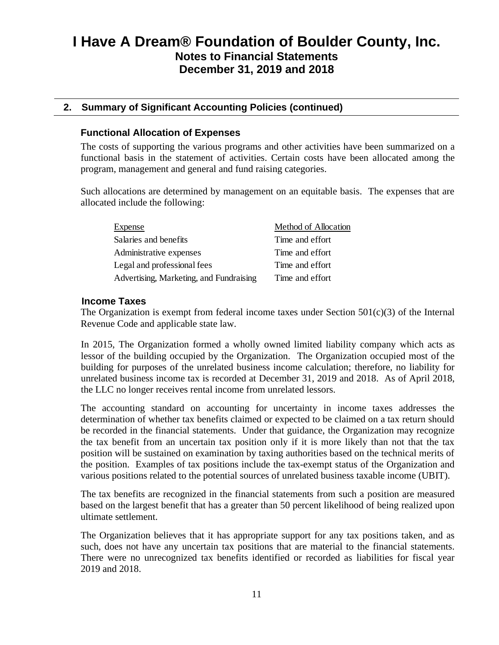#### **2. Summary of Significant Accounting Policies (continued)**

#### **Functional Allocation of Expenses**

The costs of supporting the various programs and other activities have been summarized on a functional basis in the statement of activities. Certain costs have been allocated among the program, management and general and fund raising categories.

Such allocations are determined by management on an equitable basis. The expenses that are allocated include the following:

| Expense                                 | Method of Allocation |
|-----------------------------------------|----------------------|
| Salaries and benefits                   | Time and effort      |
| Administrative expenses                 | Time and effort      |
| Legal and professional fees             | Time and effort      |
| Advertising, Marketing, and Fundraising | Time and effort      |

#### **Income Taxes**

The Organization is exempt from federal income taxes under Section  $501(c)(3)$  of the Internal Revenue Code and applicable state law.

In 2015, The Organization formed a wholly owned limited liability company which acts as lessor of the building occupied by the Organization. The Organization occupied most of the building for purposes of the unrelated business income calculation; therefore, no liability for unrelated business income tax is recorded at December 31, 2019 and 2018. As of April 2018, the LLC no longer receives rental income from unrelated lessors.

The accounting standard on accounting for uncertainty in income taxes addresses the determination of whether tax benefits claimed or expected to be claimed on a tax return should be recorded in the financial statements. Under that guidance, the Organization may recognize the tax benefit from an uncertain tax position only if it is more likely than not that the tax position will be sustained on examination by taxing authorities based on the technical merits of the position. Examples of tax positions include the tax-exempt status of the Organization and various positions related to the potential sources of unrelated business taxable income (UBIT).

The tax benefits are recognized in the financial statements from such a position are measured based on the largest benefit that has a greater than 50 percent likelihood of being realized upon ultimate settlement.

The Organization believes that it has appropriate support for any tax positions taken, and as such, does not have any uncertain tax positions that are material to the financial statements. There were no unrecognized tax benefits identified or recorded as liabilities for fiscal year 2019 and 2018.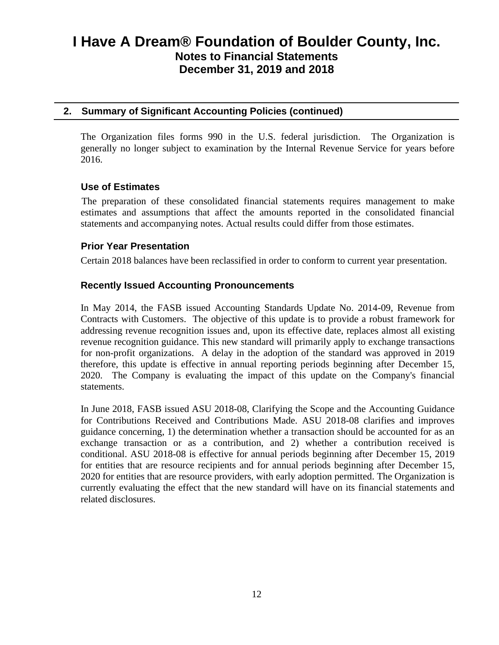### **2. Summary of Significant Accounting Policies (continued)**

The Organization files forms 990 in the U.S. federal jurisdiction. The Organization is generally no longer subject to examination by the Internal Revenue Service for years before 2016.

#### **Use of Estimates**

The preparation of these consolidated financial statements requires management to make estimates and assumptions that affect the amounts reported in the consolidated financial statements and accompanying notes. Actual results could differ from those estimates.

#### **Prior Year Presentation**

Certain 2018 balances have been reclassified in order to conform to current year presentation.

#### **Recently Issued Accounting Pronouncements**

In May 2014, the FASB issued Accounting Standards Update No. 2014-09, Revenue from Contracts with Customers. The objective of this update is to provide a robust framework for addressing revenue recognition issues and, upon its effective date, replaces almost all existing revenue recognition guidance. This new standard will primarily apply to exchange transactions for non-profit organizations. A delay in the adoption of the standard was approved in 2019 therefore, this update is effective in annual reporting periods beginning after December 15, 2020. The Company is evaluating the impact of this update on the Company's financial statements.

In June 2018, FASB issued ASU 2018-08, Clarifying the Scope and the Accounting Guidance for Contributions Received and Contributions Made. ASU 2018-08 clarifies and improves guidance concerning, 1) the determination whether a transaction should be accounted for as an exchange transaction or as a contribution, and 2) whether a contribution received is conditional. ASU 2018-08 is effective for annual periods beginning after December 15, 2019 for entities that are resource recipients and for annual periods beginning after December 15, 2020 for entities that are resource providers, with early adoption permitted. The Organization is currently evaluating the effect that the new standard will have on its financial statements and related disclosures.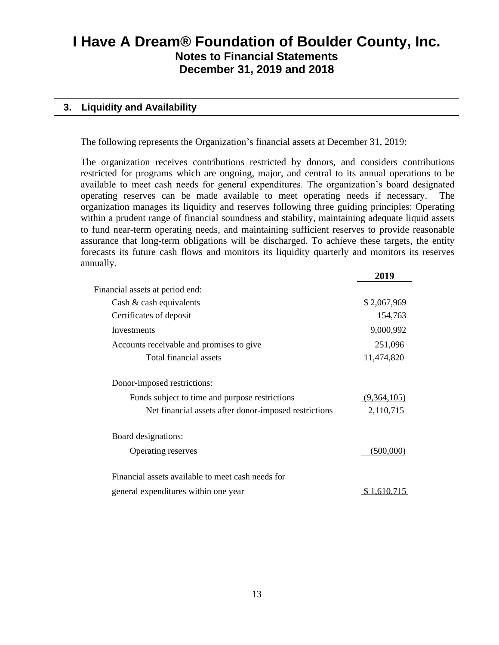#### **3. Liquidity and Availability**

The following represents the Organization's financial assets at December 31, 2019:

The organization receives contributions restricted by donors, and considers contributions restricted for programs which are ongoing, major, and central to its annual operations to be available to meet cash needs for general expenditures. The organization's board designated operating reserves can be made available to meet operating needs if necessary. The organization manages its liquidity and reserves following three guiding principles: Operating within a prudent range of financial soundness and stability, maintaining adequate liquid assets to fund near-term operating needs, and maintaining sufficient reserves to provide reasonable assurance that long-term obligations will be discharged. To achieve these targets, the entity forecasts its future cash flows and monitors its liquidity quarterly and monitors its reserves annually.

|                                                       | 2019        |
|-------------------------------------------------------|-------------|
| Financial assets at period end:                       |             |
| Cash $\&$ cash equivalents                            | \$2,067,969 |
| Certificates of deposit                               | 154,763     |
| Investments                                           | 9,000,992   |
| Accounts receivable and promises to give              | 251,096     |
| Total financial assets                                | 11,474,820  |
| Donor-imposed restrictions:                           |             |
| Funds subject to time and purpose restrictions        | (9,364,105) |
| Net financial assets after donor-imposed restrictions | 2,110,715   |
| Board designations:                                   |             |
| Operating reserves                                    | (500,000)   |
| Financial assets available to meet cash needs for     |             |
| general expenditures within one year                  | \$1,610,715 |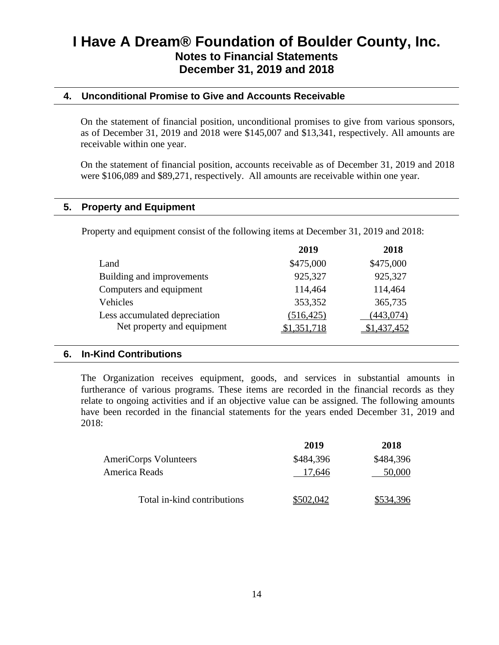#### **4. Unconditional Promise to Give and Accounts Receivable**

On the statement of financial position, unconditional promises to give from various sponsors, as of December 31, 2019 and 2018 were \$145,007 and \$13,341, respectively. All amounts are receivable within one year.

On the statement of financial position, accounts receivable as of December 31, 2019 and 2018 were \$106,089 and \$89,271, respectively. All amounts are receivable within one year.

#### **5. Property and Equipment**

Property and equipment consist of the following items at December 31, 2019 and 2018:

|                               | 2019        | 2018        |
|-------------------------------|-------------|-------------|
| Land                          | \$475,000   | \$475,000   |
| Building and improvements     | 925,327     | 925,327     |
| Computers and equipment       | 114,464     | 114,464     |
| Vehicles                      | 353,352     | 365,735     |
| Less accumulated depreciation | (516, 425)  | (443,074)   |
| Net property and equipment    | \$1,351,718 | \$1,437,452 |
|                               |             |             |

### **6. In-Kind Contributions**

The Organization receives equipment, goods, and services in substantial amounts in furtherance of various programs. These items are recorded in the financial records as they relate to ongoing activities and if an objective value can be assigned. The following amounts have been recorded in the financial statements for the years ended December 31, 2019 and 2018:

|                             | 2019      | 2018      |
|-----------------------------|-----------|-----------|
| AmeriCorps Volunteers       | \$484,396 | \$484,396 |
| America Reads               | 17.646    | 50,000    |
| Total in-kind contributions | \$502,042 | \$534,396 |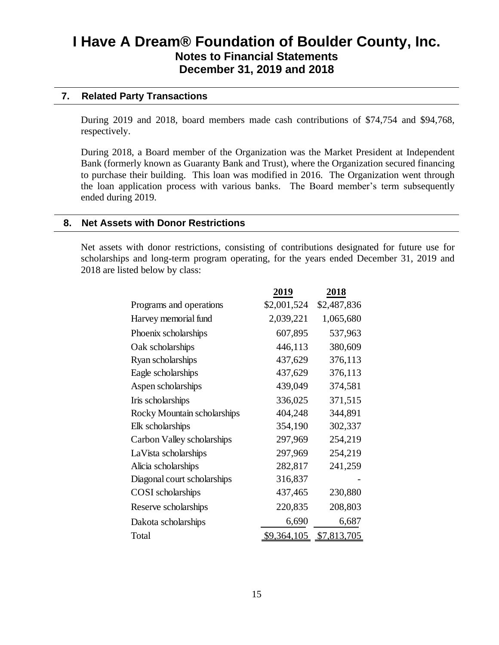#### **7. Related Party Transactions**

During 2019 and 2018, board members made cash contributions of \$74,754 and \$94,768, respectively.

During 2018, a Board member of the Organization was the Market President at Independent Bank (formerly known as Guaranty Bank and Trust), where the Organization secured financing to purchase their building. This loan was modified in 2016. The Organization went through the loan application process with various banks. The Board member's term subsequently ended during 2019.

#### **8. Net Assets with Donor Restrictions**

Net assets with donor restrictions, consisting of contributions designated for future use for scholarships and long-term program operating, for the years ended December 31, 2019 and 2018 are listed below by class:

|                             | 2019        | 2018        |
|-----------------------------|-------------|-------------|
| Programs and operations     | \$2,001,524 | \$2,487,836 |
| Harvey memorial fund        | 2,039,221   | 1,065,680   |
| Phoenix scholarships        | 607,895     | 537,963     |
| Oak scholarships            | 446,113     | 380,609     |
| Ryan scholarships           | 437,629     | 376,113     |
| Eagle scholarships          | 437,629     | 376,113     |
| Aspen scholarships          | 439,049     | 374,581     |
| Iris scholarships           | 336,025     | 371,515     |
| Rocky Mountain scholarships | 404,248     | 344,891     |
| Elk scholarships            | 354,190     | 302,337     |
| Carbon Valley scholarships  | 297,969     | 254,219     |
| LaVista scholarships        | 297,969     | 254,219     |
| Alicia scholarships         | 282,817     | 241,259     |
| Diagonal court scholarships | 316,837     |             |
| COSI scholarships           | 437,465     | 230,880     |
| Reserve scholarships        | 220,835     | 208,803     |
| Dakota scholarships         | 6,690       | 6,687       |
| Total                       | \$9,364,105 | \$7,813,705 |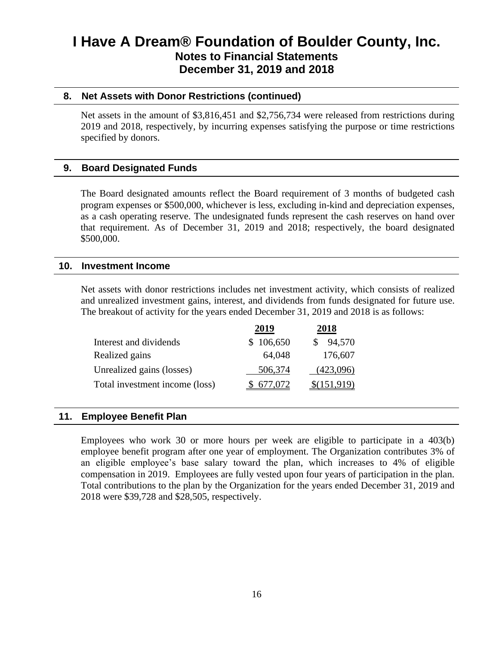#### **8. Net Assets with Donor Restrictions (continued)**

Net assets in the amount of \$3,816,451 and \$2,756,734 were released from restrictions during 2019 and 2018, respectively, by incurring expenses satisfying the purpose or time restrictions specified by donors.

#### **9. Board Designated Funds**

The Board designated amounts reflect the Board requirement of 3 months of budgeted cash program expenses or \$500,000, whichever is less, excluding in-kind and depreciation expenses, as a cash operating reserve. The undesignated funds represent the cash reserves on hand over that requirement. As of December 31, 2019 and 2018; respectively, the board designated \$500,000.

#### **10. Investment Income**

Net assets with donor restrictions includes net investment activity, which consists of realized and unrealized investment gains, interest, and dividends from funds designated for future use. The breakout of activity for the years ended December 31, 2019 and 2018 is as follows:

|                                | 2019            | 2018        |  |  |  |
|--------------------------------|-----------------|-------------|--|--|--|
| Interest and dividends         | \$106,650       | 94,570      |  |  |  |
| Realized gains                 | 64,048          | 176,607     |  |  |  |
| Unrealized gains (losses)      | 506,374         | (423,096)   |  |  |  |
| Total investment income (loss) | <u>67</u> 7,072 | \$(151,919) |  |  |  |

#### **11. Employee Benefit Plan**

Employees who work 30 or more hours per week are eligible to participate in a 403(b) employee benefit program after one year of employment. The Organization contributes 3% of an eligible employee's base salary toward the plan, which increases to 4% of eligible compensation in 2019. Employees are fully vested upon four years of participation in the plan. Total contributions to the plan by the Organization for the years ended December 31, 2019 and 2018 were \$39,728 and \$28,505, respectively.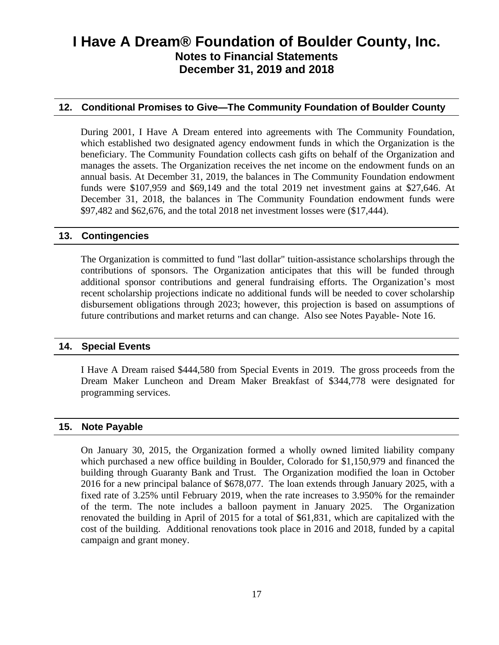#### **12. Conditional Promises to Give—The Community Foundation of Boulder County**

During 2001, I Have A Dream entered into agreements with The Community Foundation, which established two designated agency endowment funds in which the Organization is the beneficiary. The Community Foundation collects cash gifts on behalf of the Organization and manages the assets. The Organization receives the net income on the endowment funds on an annual basis. At December 31, 2019, the balances in The Community Foundation endowment funds were \$107,959 and \$69,149 and the total 2019 net investment gains at \$27,646. At December 31, 2018, the balances in The Community Foundation endowment funds were \$97,482 and \$62,676, and the total 2018 net investment losses were (\$17,444).

#### **13. Contingencies**

The Organization is committed to fund "last dollar" tuition-assistance scholarships through the contributions of sponsors. The Organization anticipates that this will be funded through additional sponsor contributions and general fundraising efforts. The Organization's most recent scholarship projections indicate no additional funds will be needed to cover scholarship disbursement obligations through 2023; however, this projection is based on assumptions of future contributions and market returns and can change. Also see Notes Payable- Note 16.

#### **14. Special Events**

I Have A Dream raised \$444,580 from Special Events in 2019. The gross proceeds from the Dream Maker Luncheon and Dream Maker Breakfast of \$344,778 were designated for programming services.

#### **15. Note Payable**

On January 30, 2015, the Organization formed a wholly owned limited liability company which purchased a new office building in Boulder, Colorado for \$1,150,979 and financed the building through Guaranty Bank and Trust. The Organization modified the loan in October 2016 for a new principal balance of \$678,077. The loan extends through January 2025, with a fixed rate of 3.25% until February 2019, when the rate increases to 3.950% for the remainder of the term. The note includes a balloon payment in January 2025. The Organization renovated the building in April of 2015 for a total of \$61,831, which are capitalized with the cost of the building. Additional renovations took place in 2016 and 2018, funded by a capital campaign and grant money.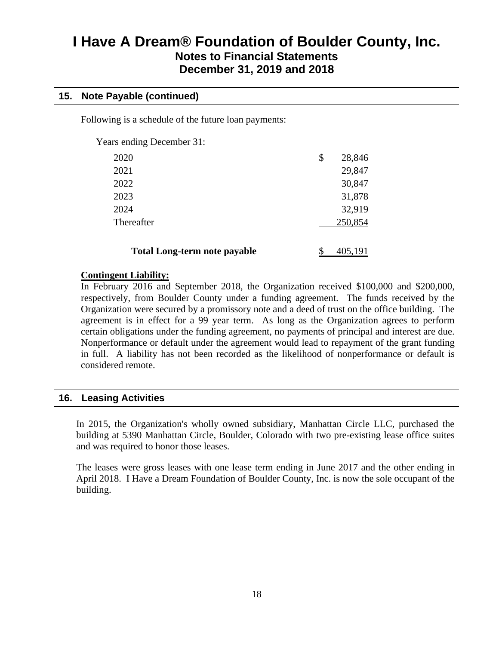#### **15. Note Payable (continued)**

Following is a schedule of the future loan payments:

Years ending December 31:

| 2020                                | \$<br>28,846  |
|-------------------------------------|---------------|
| 2021                                | 29,847        |
| 2022                                | 30,847        |
| 2023                                | 31,878        |
| 2024                                | 32,919        |
| Thereafter                          | 250,854       |
|                                     |               |
| <b>Total Long-term note payable</b> | \$<br>405,191 |

#### **Contingent Liability:**

In February 2016 and September 2018, the Organization received \$100,000 and \$200,000, respectively, from Boulder County under a funding agreement. The funds received by the Organization were secured by a promissory note and a deed of trust on the office building. The agreement is in effect for a 99 year term. As long as the Organization agrees to perform certain obligations under the funding agreement, no payments of principal and interest are due. Nonperformance or default under the agreement would lead to repayment of the grant funding in full. A liability has not been recorded as the likelihood of nonperformance or default is considered remote.

#### **16. Leasing Activities**

In 2015, the Organization's wholly owned subsidiary, Manhattan Circle LLC, purchased the building at 5390 Manhattan Circle, Boulder, Colorado with two pre-existing lease office suites and was required to honor those leases.

The leases were gross leases with one lease term ending in June 2017 and the other ending in April 2018. I Have a Dream Foundation of Boulder County, Inc. is now the sole occupant of the building.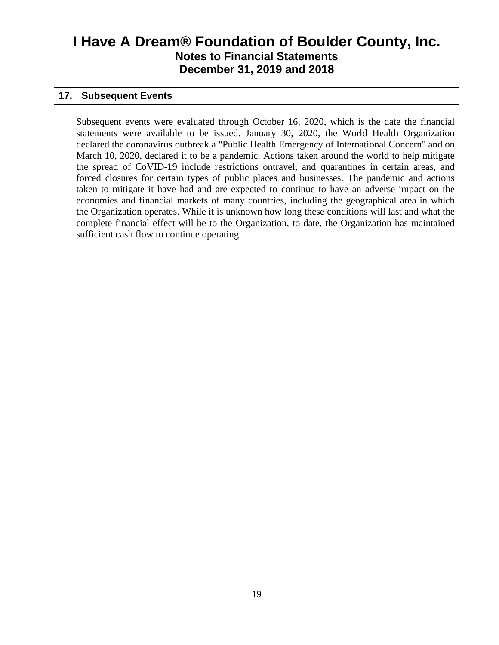#### **17. Subsequent Events**

Subsequent events were evaluated through October 16, 2020, which is the date the financial statements were available to be issued. January 30, 2020, the World Health Organization declared the coronavirus outbreak a "Public Health Emergency of International Concern" and on March 10, 2020, declared it to be a pandemic. Actions taken around the world to help mitigate the spread of CoVID-19 include restrictions ontravel, and quarantines in certain areas, and forced closures for certain types of public places and businesses. The pandemic and actions taken to mitigate it have had and are expected to continue to have an adverse impact on the economies and financial markets of many countries, including the geographical area in which the Organization operates. While it is unknown how long these conditions will last and what the complete financial effect will be to the Organization, to date, the Organization has maintained sufficient cash flow to continue operating.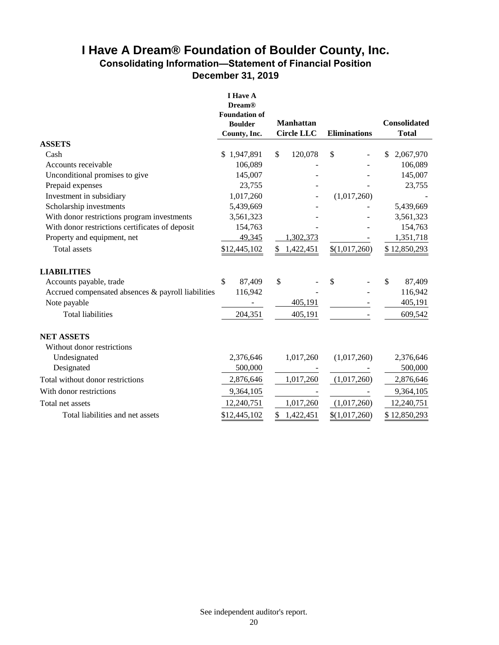### **I Have A Dream® Foundation of Boulder County, Inc. Consolidating Information—Statement of Financial Position December 31, 2019**

|                                                    | <b>I</b> Have A<br><b>Dream®</b><br><b>Foundation of</b><br><b>Boulder</b> | <b>Manhattan</b>  |                     | <b>Consolidated</b> |
|----------------------------------------------------|----------------------------------------------------------------------------|-------------------|---------------------|---------------------|
|                                                    | County, Inc.                                                               | <b>Circle LLC</b> | <b>Eliminations</b> | <b>Total</b>        |
| <b>ASSETS</b>                                      |                                                                            |                   |                     |                     |
| Cash                                               | \$1,947,891                                                                | 120,078<br>\$     | \$                  | 2,067,970           |
| Accounts receivable                                | 106,089                                                                    |                   |                     | 106,089             |
| Unconditional promises to give                     | 145,007                                                                    |                   |                     | 145,007             |
| Prepaid expenses                                   | 23,755                                                                     |                   |                     | 23,755              |
| Investment in subsidiary                           | 1,017,260                                                                  |                   | (1,017,260)         |                     |
| Scholarship investments                            | 5,439,669                                                                  |                   |                     | 5,439,669           |
| With donor restrictions program investments        | 3,561,323                                                                  |                   |                     | 3,561,323           |
| With donor restrictions certificates of deposit    | 154,763                                                                    |                   |                     | 154,763             |
| Property and equipment, net                        | 49,345                                                                     | 1,302,373         |                     | 1,351,718           |
| <b>Total assets</b>                                | \$12,445,102                                                               | 1,422,451<br>\$   | \$(1,017,260)       | \$12,850,293        |
| <b>LIABILITIES</b>                                 |                                                                            |                   |                     |                     |
| Accounts payable, trade                            | $\mathbb{S}$<br>87,409                                                     | \$                | \$                  | \$<br>87,409        |
| Accrued compensated absences & payroll liabilities | 116,942                                                                    |                   |                     | 116,942             |
| Note payable                                       |                                                                            | 405,191           |                     | 405,191             |
| <b>Total liabilities</b>                           | 204,351                                                                    | 405,191           |                     | 609,542             |
| <b>NET ASSETS</b>                                  |                                                                            |                   |                     |                     |
| Without donor restrictions                         |                                                                            |                   |                     |                     |
| Undesignated                                       | 2,376,646                                                                  | 1,017,260         | (1,017,260)         | 2,376,646           |
| Designated                                         | 500,000                                                                    |                   |                     | 500,000             |
| Total without donor restrictions                   | 2,876,646                                                                  | 1,017,260         | (1,017,260)         | 2,876,646           |
| With donor restrictions                            | 9,364,105                                                                  |                   |                     | 9,364,105           |
| Total net assets                                   | 12,240,751                                                                 | 1,017,260         | (1,017,260)         | 12,240,751          |
| Total liabilities and net assets                   | \$12,445,102                                                               | \$<br>1,422,451   | \$(1,017,260)       | \$12,850,293        |